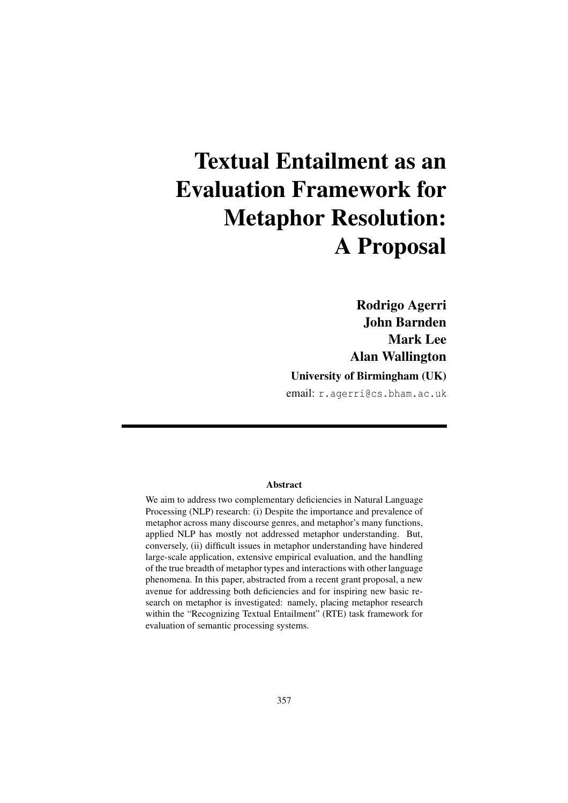# Textual Entailment as an Evaluation Framework for Metaphor Resolution: A Proposal

Rodrigo Agerri John Barnden Mark Lee Alan Wallington

## University of Birmingham (UK)

email: r.agerri@cs.bham.ac.uk

### Abstract

We aim to address two complementary deficiencies in Natural Language Processing (NLP) research: (i) Despite the importance and prevalence of metaphor across many discourse genres, and metaphor's many functions, applied NLP has mostly not addressed metaphor understanding. But, conversely, (ii) difficult issues in metaphor understanding have hindered large-scale application, extensive empirical evaluation, and the handling of the true breadth of metaphor types and interactions with other language phenomena. In this paper, abstracted from a recent grant proposal, a new avenue for addressing both deficiencies and for inspiring new basic research on metaphor is investigated: namely, placing metaphor research within the "Recognizing Textual Entailment" (RTE) task framework for evaluation of semantic processing systems.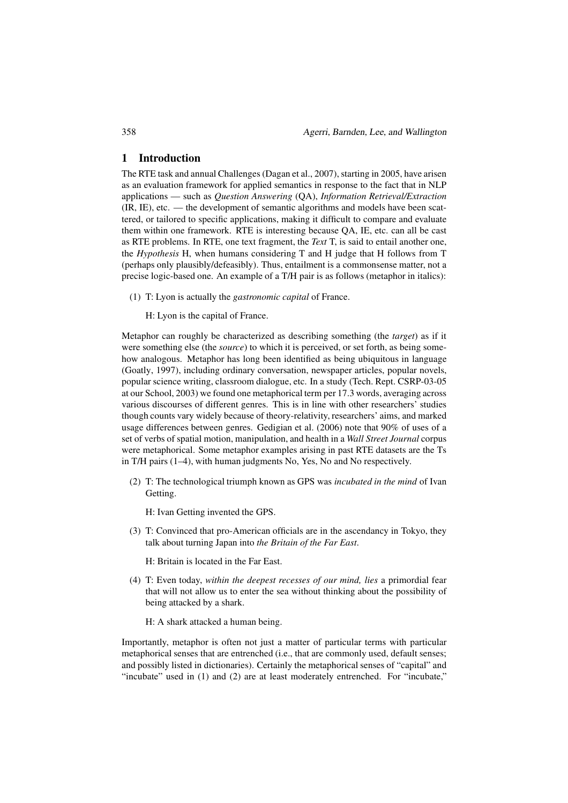#### 1 Introduction

The RTE task and annual Challenges (Dagan et al., 2007), starting in 2005, have arisen as an evaluation framework for applied semantics in response to the fact that in NLP applications — such as *Question Answering* (QA), *Information Retrieval/Extraction* (IR, IE), etc. — the development of semantic algorithms and models have been scattered, or tailored to specific applications, making it difficult to compare and evaluate them within one framework. RTE is interesting because QA, IE, etc. can all be cast as RTE problems. In RTE, one text fragment, the *Text* T, is said to entail another one, the *Hypothesis* H, when humans considering T and H judge that H follows from T (perhaps only plausibly/defeasibly). Thus, entailment is a commonsense matter, not a precise logic-based one. An example of a T/H pair is as follows (metaphor in italics):

(1) T: Lyon is actually the *gastronomic capital* of France.

H: Lyon is the capital of France.

Metaphor can roughly be characterized as describing something (the *target*) as if it were something else (the *source*) to which it is perceived, or set forth, as being somehow analogous. Metaphor has long been identified as being ubiquitous in language (Goatly, 1997), including ordinary conversation, newspaper articles, popular novels, popular science writing, classroom dialogue, etc. In a study (Tech. Rept. CSRP-03-05 at our School, 2003) we found one metaphorical term per 17.3 words, averaging across various discourses of different genres. This is in line with other researchers' studies though counts vary widely because of theory-relativity, researchers' aims, and marked usage differences between genres. Gedigian et al. (2006) note that 90% of uses of a set of verbs of spatial motion, manipulation, and health in a *Wall Street Journal* corpus were metaphorical. Some metaphor examples arising in past RTE datasets are the Ts in T/H pairs (1–4), with human judgments No, Yes, No and No respectively.

(2) T: The technological triumph known as GPS was *incubated in the mind* of Ivan Getting.

H: Ivan Getting invented the GPS.

(3) T: Convinced that pro-American officials are in the ascendancy in Tokyo, they talk about turning Japan into *the Britain of the Far East*.

H: Britain is located in the Far East.

(4) T: Even today, *within the deepest recesses of our mind, lies* a primordial fear that will not allow us to enter the sea without thinking about the possibility of being attacked by a shark.

H: A shark attacked a human being.

Importantly, metaphor is often not just a matter of particular terms with particular metaphorical senses that are entrenched (i.e., that are commonly used, default senses; and possibly listed in dictionaries). Certainly the metaphorical senses of "capital" and "incubate" used in (1) and (2) are at least moderately entrenched. For "incubate,"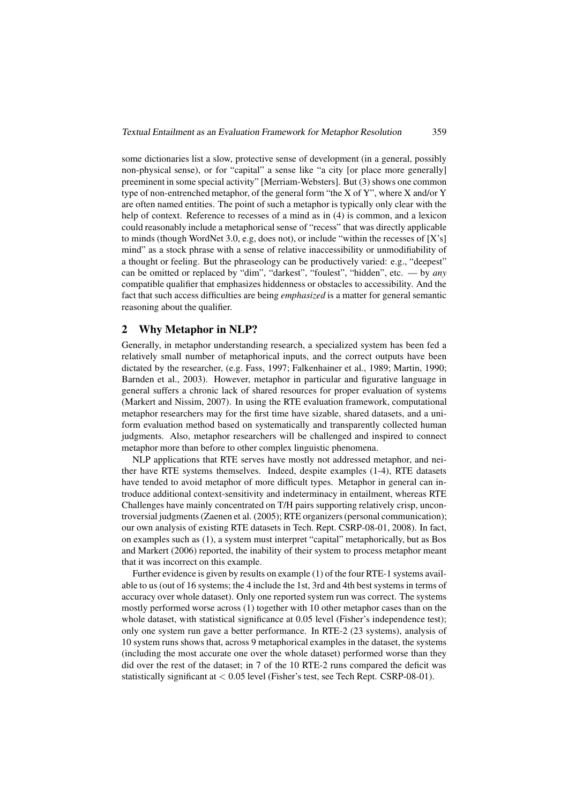some dictionaries list a slow, protective sense of development (in a general, possibly non-physical sense), or for "capital" a sense like "a city [or place more generally] preeminent in some special activity" [Merriam-Websters]. But (3) shows one common type of non-entrenched metaphor, of the general form "the X of Y", where X and/or Y are often named entities. The point of such a metaphor is typically only clear with the help of context. Reference to recesses of a mind as in (4) is common, and a lexicon could reasonably include a metaphorical sense of "recess" that was directly applicable to minds (though WordNet 3.0, e.g, does not), or include "within the recesses of [X's] mind" as a stock phrase with a sense of relative inaccessibility or unmodifiability of a thought or feeling. But the phraseology can be productively varied: e.g., "deepest" can be omitted or replaced by "dim", "darkest", "foulest", "hidden", etc. — by *any* compatible qualifier that emphasizes hiddenness or obstacles to accessibility. And the fact that such access difficulties are being *emphasized* is a matter for general semantic reasoning about the qualifier.

### 2 Why Metaphor in NLP?

Generally, in metaphor understanding research, a specialized system has been fed a relatively small number of metaphorical inputs, and the correct outputs have been dictated by the researcher, (e.g. Fass, 1997; Falkenhainer et al., 1989; Martin, 1990; Barnden et al., 2003). However, metaphor in particular and figurative language in general suffers a chronic lack of shared resources for proper evaluation of systems (Markert and Nissim, 2007). In using the RTE evaluation framework, computational metaphor researchers may for the first time have sizable, shared datasets, and a uniform evaluation method based on systematically and transparently collected human judgments. Also, metaphor researchers will be challenged and inspired to connect metaphor more than before to other complex linguistic phenomena.

NLP applications that RTE serves have mostly not addressed metaphor, and neither have RTE systems themselves. Indeed, despite examples (1-4), RTE datasets have tended to avoid metaphor of more difficult types. Metaphor in general can introduce additional context-sensitivity and indeterminacy in entailment, whereas RTE Challenges have mainly concentrated on T/H pairs supporting relatively crisp, uncontroversial judgments (Zaenen et al. (2005); RTE organizers(personal communication); our own analysis of existing RTE datasets in Tech. Rept. CSRP-08-01, 2008). In fact, on examples such as (1), a system must interpret "capital" metaphorically, but as Bos and Markert (2006) reported, the inability of their system to process metaphor meant that it was incorrect on this example.

Further evidence is given by results on example (1) of the four RTE-1 systems available to us (out of 16 systems; the 4 include the 1st, 3rd and 4th best systems in terms of accuracy over whole dataset). Only one reported system run was correct. The systems mostly performed worse across (1) together with 10 other metaphor cases than on the whole dataset, with statistical significance at 0.05 level (Fisher's independence test); only one system run gave a better performance. In RTE-2 (23 systems), analysis of 10 system runs shows that, across 9 metaphorical examples in the dataset, the systems (including the most accurate one over the whole dataset) performed worse than they did over the rest of the dataset; in 7 of the 10 RTE-2 runs compared the deficit was statistically significant at < 0.05 level (Fisher's test, see Tech Rept. CSRP-08-01).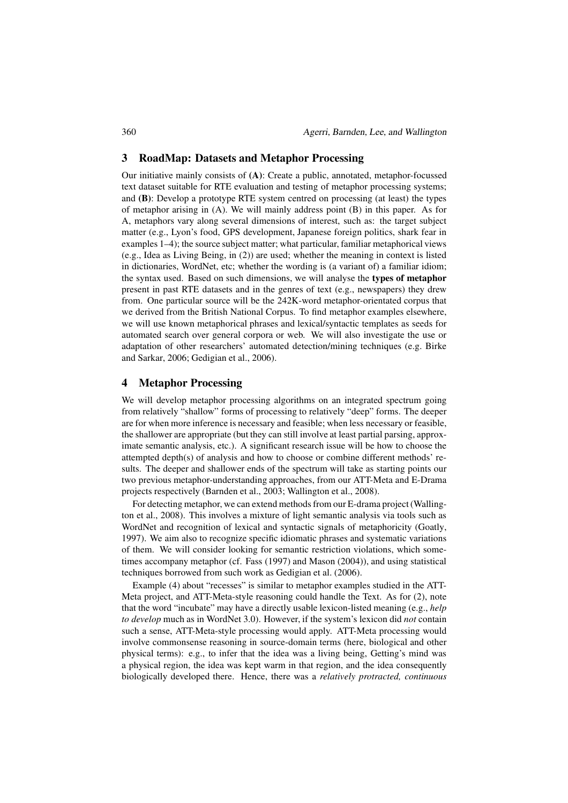#### 3 RoadMap: Datasets and Metaphor Processing

Our initiative mainly consists of (A): Create a public, annotated, metaphor-focussed text dataset suitable for RTE evaluation and testing of metaphor processing systems; and (B): Develop a prototype RTE system centred on processing (at least) the types of metaphor arising in (A). We will mainly address point (B) in this paper. As for A, metaphors vary along several dimensions of interest, such as: the target subject matter (e.g., Lyon's food, GPS development, Japanese foreign politics, shark fear in examples 1–4); the source subject matter; what particular, familiar metaphorical views (e.g., Idea as Living Being, in (2)) are used; whether the meaning in context is listed in dictionaries, WordNet, etc; whether the wording is (a variant of) a familiar idiom; the syntax used. Based on such dimensions, we will analyse the types of metaphor present in past RTE datasets and in the genres of text (e.g., newspapers) they drew from. One particular source will be the 242K-word metaphor-orientated corpus that we derived from the British National Corpus. To find metaphor examples elsewhere, we will use known metaphorical phrases and lexical/syntactic templates as seeds for automated search over general corpora or web. We will also investigate the use or adaptation of other researchers' automated detection/mining techniques (e.g. Birke and Sarkar, 2006; Gedigian et al., 2006).

#### 4 Metaphor Processing

We will develop metaphor processing algorithms on an integrated spectrum going from relatively "shallow" forms of processing to relatively "deep" forms. The deeper are for when more inference is necessary and feasible; when less necessary or feasible, the shallower are appropriate (but they can still involve at least partial parsing, approximate semantic analysis, etc.). A significant research issue will be how to choose the attempted depth(s) of analysis and how to choose or combine different methods' results. The deeper and shallower ends of the spectrum will take as starting points our two previous metaphor-understanding approaches, from our ATT-Meta and E-Drama projects respectively (Barnden et al., 2003; Wallington et al., 2008).

For detecting metaphor, we can extend methods from our E-drama project (Wallington et al., 2008). This involves a mixture of light semantic analysis via tools such as WordNet and recognition of lexical and syntactic signals of metaphoricity (Goatly, 1997). We aim also to recognize specific idiomatic phrases and systematic variations of them. We will consider looking for semantic restriction violations, which sometimes accompany metaphor (cf. Fass (1997) and Mason (2004)), and using statistical techniques borrowed from such work as Gedigian et al. (2006).

Example (4) about "recesses" is similar to metaphor examples studied in the ATT-Meta project, and ATT-Meta-style reasoning could handle the Text. As for (2), note that the word "incubate" may have a directly usable lexicon-listed meaning (e.g., *help to develop* much as in WordNet 3.0). However, if the system's lexicon did *not* contain such a sense, ATT-Meta-style processing would apply. ATT-Meta processing would involve commonsense reasoning in source-domain terms (here, biological and other physical terms): e.g., to infer that the idea was a living being, Getting's mind was a physical region, the idea was kept warm in that region, and the idea consequently biologically developed there. Hence, there was a *relatively protracted, continuous*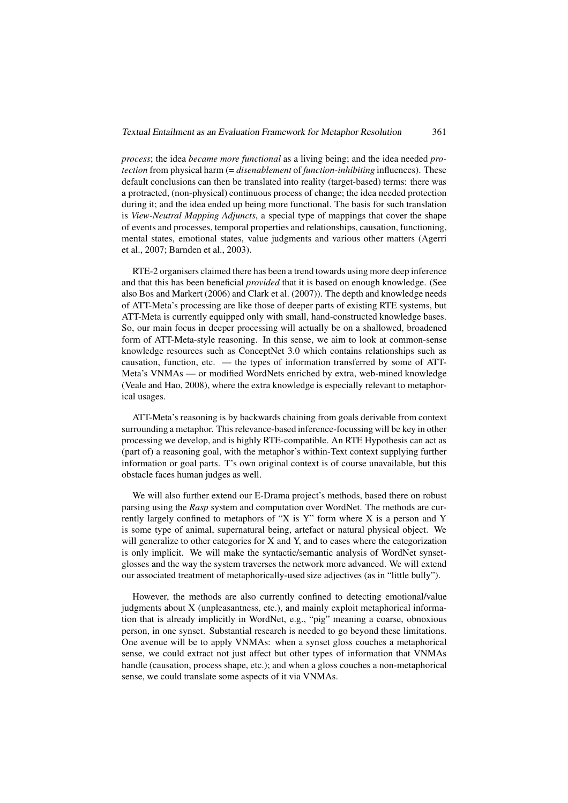*process*; the idea *became more functional* as a living being; and the idea needed *protection* from physical harm (= *disenablement* of *function-inhibiting* influences). These default conclusions can then be translated into reality (target-based) terms: there was a protracted, (non-physical) continuous process of change; the idea needed protection during it; and the idea ended up being more functional. The basis for such translation is *View-Neutral Mapping Adjuncts*, a special type of mappings that cover the shape of events and processes, temporal properties and relationships, causation, functioning, mental states, emotional states, value judgments and various other matters (Agerri et al., 2007; Barnden et al., 2003).

RTE-2 organisers claimed there has been a trend towards using more deep inference and that this has been beneficial *provided* that it is based on enough knowledge. (See also Bos and Markert (2006) and Clark et al. (2007)). The depth and knowledge needs of ATT-Meta's processing are like those of deeper parts of existing RTE systems, but ATT-Meta is currently equipped only with small, hand-constructed knowledge bases. So, our main focus in deeper processing will actually be on a shallowed, broadened form of ATT-Meta-style reasoning. In this sense, we aim to look at common-sense knowledge resources such as ConceptNet 3.0 which contains relationships such as causation, function, etc. — the types of information transferred by some of ATT-Meta's VNMAs — or modified WordNets enriched by extra, web-mined knowledge (Veale and Hao, 2008), where the extra knowledge is especially relevant to metaphorical usages.

ATT-Meta's reasoning is by backwards chaining from goals derivable from context surrounding a metaphor. This relevance-based inference-focussing will be key in other processing we develop, and is highly RTE-compatible. An RTE Hypothesis can act as (part of) a reasoning goal, with the metaphor's within-Text context supplying further information or goal parts. T's own original context is of course unavailable, but this obstacle faces human judges as well.

We will also further extend our E-Drama project's methods, based there on robust parsing using the *Rasp* system and computation over WordNet. The methods are currently largely confined to metaphors of "X is Y" form where X is a person and Y is some type of animal, supernatural being, artefact or natural physical object. We will generalize to other categories for X and Y, and to cases where the categorization is only implicit. We will make the syntactic/semantic analysis of WordNet synsetglosses and the way the system traverses the network more advanced. We will extend our associated treatment of metaphorically-used size adjectives (as in "little bully").

However, the methods are also currently confined to detecting emotional/value judgments about X (unpleasantness, etc.), and mainly exploit metaphorical information that is already implicitly in WordNet, e.g., "pig" meaning a coarse, obnoxious person, in one synset. Substantial research is needed to go beyond these limitations. One avenue will be to apply VNMAs: when a synset gloss couches a metaphorical sense, we could extract not just affect but other types of information that VNMAs handle (causation, process shape, etc.); and when a gloss couches a non-metaphorical sense, we could translate some aspects of it via VNMAs.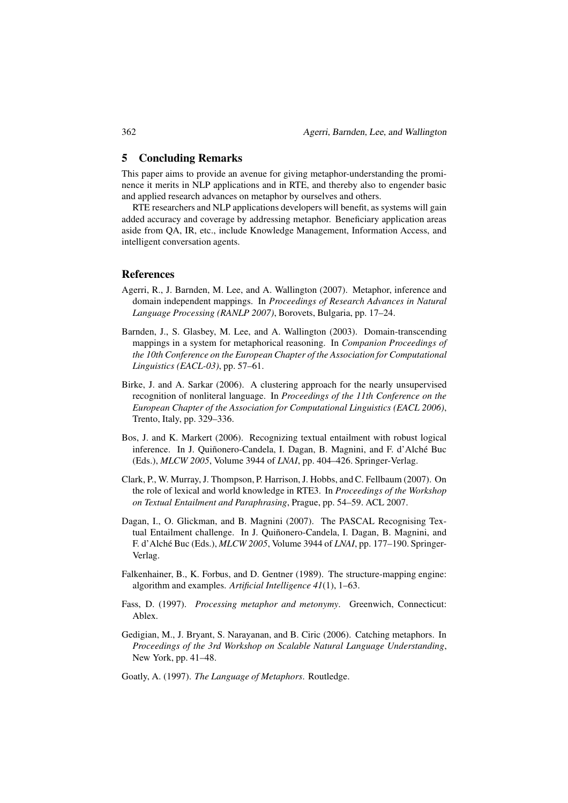#### 5 Concluding Remarks

This paper aims to provide an avenue for giving metaphor-understanding the prominence it merits in NLP applications and in RTE, and thereby also to engender basic and applied research advances on metaphor by ourselves and others.

RTE researchers and NLP applications developers will benefit, as systems will gain added accuracy and coverage by addressing metaphor. Beneficiary application areas aside from QA, IR, etc., include Knowledge Management, Information Access, and intelligent conversation agents.

#### References

- Agerri, R., J. Barnden, M. Lee, and A. Wallington (2007). Metaphor, inference and domain independent mappings. In *Proceedings of Research Advances in Natural Language Processing (RANLP 2007)*, Borovets, Bulgaria, pp. 17–24.
- Barnden, J., S. Glasbey, M. Lee, and A. Wallington (2003). Domain-transcending mappings in a system for metaphorical reasoning. In *Companion Proceedings of the 10th Conference on the European Chapter of the Association for Computational Linguistics (EACL-03)*, pp. 57–61.
- Birke, J. and A. Sarkar (2006). A clustering approach for the nearly unsupervised recognition of nonliteral language. In *Proceedings of the 11th Conference on the European Chapter of the Association for Computational Linguistics (EACL 2006)*, Trento, Italy, pp. 329–336.
- Bos, J. and K. Markert (2006). Recognizing textual entailment with robust logical inference. In J. Quiñonero-Candela, I. Dagan, B. Magnini, and F. d'Alché Buc (Eds.), *MLCW 2005*, Volume 3944 of *LNAI*, pp. 404–426. Springer-Verlag.
- Clark, P., W. Murray, J. Thompson, P. Harrison, J. Hobbs, and C. Fellbaum (2007). On the role of lexical and world knowledge in RTE3. In *Proceedings of the Workshop on Textual Entailment and Paraphrasing*, Prague, pp. 54–59. ACL 2007.
- Dagan, I., O. Glickman, and B. Magnini (2007). The PASCAL Recognising Textual Entailment challenge. In J. Quiñonero-Candela, I. Dagan, B. Magnini, and F. d'Alché Buc (Eds.), *MLCW 2005*, Volume 3944 of *LNAI*, pp. 177–190. Springer-Verlag.
- Falkenhainer, B., K. Forbus, and D. Gentner (1989). The structure-mapping engine: algorithm and examples. *Artificial Intelligence 41*(1), 1–63.
- Fass, D. (1997). *Processing metaphor and metonymy*. Greenwich, Connecticut: Ablex.
- Gedigian, M., J. Bryant, S. Narayanan, and B. Ciric (2006). Catching metaphors. In *Proceedings of the 3rd Workshop on Scalable Natural Language Understanding*, New York, pp. 41–48.
- Goatly, A. (1997). *The Language of Metaphors*. Routledge.